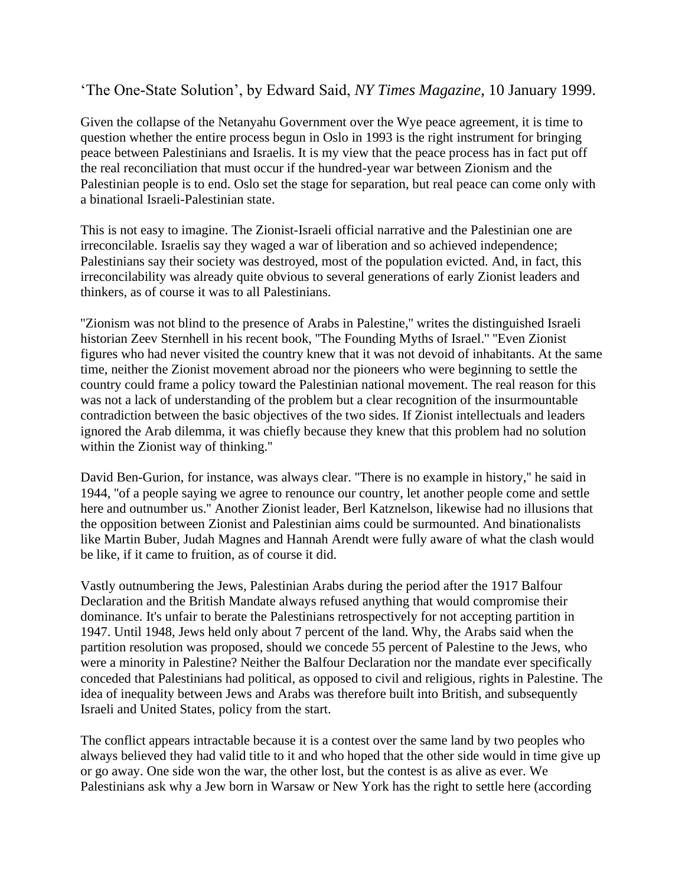'The One-State Solution', by Edward Said, *NY Times Magazine,* 10 January 1999.

Given the collapse of the Netanyahu Government over the Wye peace agreement, it is time to question whether the entire process begun in Oslo in 1993 is the right instrument for bringing peace between Palestinians and Israelis. It is my view that the peace process has in fact put off the real reconciliation that must occur if the hundred-year war between Zionism and the Palestinian people is to end. Oslo set the stage for separation, but real peace can come only with a binational Israeli-Palestinian state.

This is not easy to imagine. The Zionist-Israeli official narrative and the Palestinian one are irreconcilable. Israelis say they waged a war of liberation and so achieved independence; Palestinians say their society was destroyed, most of the population evicted. And, in fact, this irreconcilability was already quite obvious to several generations of early Zionist leaders and thinkers, as of course it was to all Palestinians.

''Zionism was not blind to the presence of Arabs in Palestine,'' writes the distinguished Israeli historian Zeev Sternhell in his recent book, ''The Founding Myths of Israel.'' ''Even Zionist figures who had never visited the country knew that it was not devoid of inhabitants. At the same time, neither the Zionist movement abroad nor the pioneers who were beginning to settle the country could frame a policy toward the Palestinian national movement. The real reason for this was not a lack of understanding of the problem but a clear recognition of the insurmountable contradiction between the basic objectives of the two sides. If Zionist intellectuals and leaders ignored the Arab dilemma, it was chiefly because they knew that this problem had no solution within the Zionist way of thinking.''

David Ben-Gurion, for instance, was always clear. ''There is no example in history,'' he said in 1944, ''of a people saying we agree to renounce our country, let another people come and settle here and outnumber us.'' Another Zionist leader, Berl Katznelson, likewise had no illusions that the opposition between Zionist and Palestinian aims could be surmounted. And binationalists like Martin Buber, Judah Magnes and Hannah Arendt were fully aware of what the clash would be like, if it came to fruition, as of course it did.

Vastly outnumbering the Jews, Palestinian Arabs during the period after the 1917 Balfour Declaration and the British Mandate always refused anything that would compromise their dominance. It's unfair to berate the Palestinians retrospectively for not accepting partition in 1947. Until 1948, Jews held only about 7 percent of the land. Why, the Arabs said when the partition resolution was proposed, should we concede 55 percent of Palestine to the Jews, who were a minority in Palestine? Neither the Balfour Declaration nor the mandate ever specifically conceded that Palestinians had political, as opposed to civil and religious, rights in Palestine. The idea of inequality between Jews and Arabs was therefore built into British, and subsequently Israeli and United States, policy from the start.

The conflict appears intractable because it is a contest over the same land by two peoples who always believed they had valid title to it and who hoped that the other side would in time give up or go away. One side won the war, the other lost, but the contest is as alive as ever. We Palestinians ask why a Jew born in Warsaw or New York has the right to settle here (according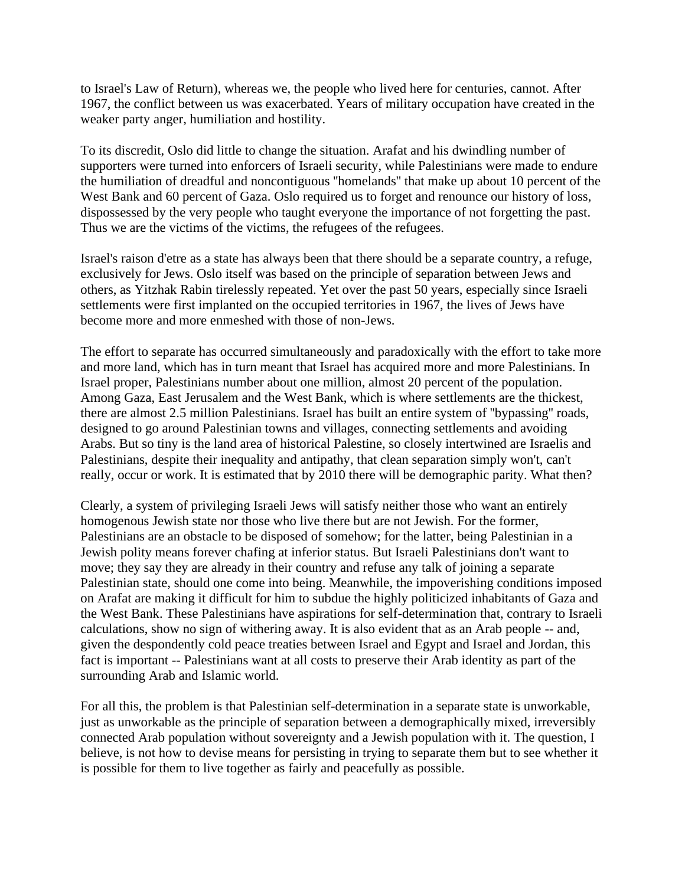to Israel's Law of Return), whereas we, the people who lived here for centuries, cannot. After 1967, the conflict between us was exacerbated. Years of military occupation have created in the weaker party anger, humiliation and hostility.

To its discredit, Oslo did little to change the situation. Arafat and his dwindling number of supporters were turned into enforcers of Israeli security, while Palestinians were made to endure the humiliation of dreadful and noncontiguous ''homelands'' that make up about 10 percent of the West Bank and 60 percent of Gaza. Oslo required us to forget and renounce our history of loss, dispossessed by the very people who taught everyone the importance of not forgetting the past. Thus we are the victims of the victims, the refugees of the refugees.

Israel's raison d'etre as a state has always been that there should be a separate country, a refuge, exclusively for Jews. Oslo itself was based on the principle of separation between Jews and others, as Yitzhak Rabin tirelessly repeated. Yet over the past 50 years, especially since Israeli settlements were first implanted on the occupied territories in 1967, the lives of Jews have become more and more enmeshed with those of non-Jews.

The effort to separate has occurred simultaneously and paradoxically with the effort to take more and more land, which has in turn meant that Israel has acquired more and more Palestinians. In Israel proper, Palestinians number about one million, almost 20 percent of the population. Among Gaza, East Jerusalem and the West Bank, which is where settlements are the thickest, there are almost 2.5 million Palestinians. Israel has built an entire system of ''bypassing'' roads, designed to go around Palestinian towns and villages, connecting settlements and avoiding Arabs. But so tiny is the land area of historical Palestine, so closely intertwined are Israelis and Palestinians, despite their inequality and antipathy, that clean separation simply won't, can't really, occur or work. It is estimated that by 2010 there will be demographic parity. What then?

Clearly, a system of privileging Israeli Jews will satisfy neither those who want an entirely homogenous Jewish state nor those who live there but are not Jewish. For the former, Palestinians are an obstacle to be disposed of somehow; for the latter, being Palestinian in a Jewish polity means forever chafing at inferior status. But Israeli Palestinians don't want to move; they say they are already in their country and refuse any talk of joining a separate Palestinian state, should one come into being. Meanwhile, the impoverishing conditions imposed on Arafat are making it difficult for him to subdue the highly politicized inhabitants of Gaza and the West Bank. These Palestinians have aspirations for self-determination that, contrary to Israeli calculations, show no sign of withering away. It is also evident that as an Arab people -- and, given the despondently cold peace treaties between Israel and Egypt and Israel and Jordan, this fact is important -- Palestinians want at all costs to preserve their Arab identity as part of the surrounding Arab and Islamic world.

For all this, the problem is that Palestinian self-determination in a separate state is unworkable, just as unworkable as the principle of separation between a demographically mixed, irreversibly connected Arab population without sovereignty and a Jewish population with it. The question, I believe, is not how to devise means for persisting in trying to separate them but to see whether it is possible for them to live together as fairly and peacefully as possible.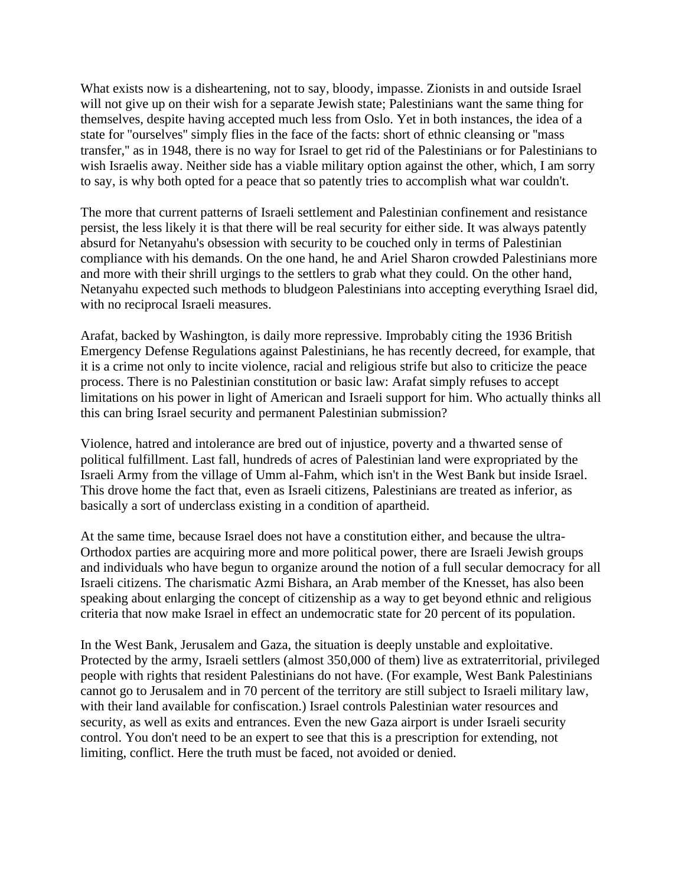What exists now is a disheartening, not to say, bloody, impasse. Zionists in and outside Israel will not give up on their wish for a separate Jewish state; Palestinians want the same thing for themselves, despite having accepted much less from Oslo. Yet in both instances, the idea of a state for ''ourselves'' simply flies in the face of the facts: short of ethnic cleansing or ''mass transfer,'' as in 1948, there is no way for Israel to get rid of the Palestinians or for Palestinians to wish Israelis away. Neither side has a viable military option against the other, which, I am sorry to say, is why both opted for a peace that so patently tries to accomplish what war couldn't.

The more that current patterns of Israeli settlement and Palestinian confinement and resistance persist, the less likely it is that there will be real security for either side. It was always patently absurd for Netanyahu's obsession with security to be couched only in terms of Palestinian compliance with his demands. On the one hand, he and Ariel Sharon crowded Palestinians more and more with their shrill urgings to the settlers to grab what they could. On the other hand, Netanyahu expected such methods to bludgeon Palestinians into accepting everything Israel did, with no reciprocal Israeli measures.

Arafat, backed by Washington, is daily more repressive. Improbably citing the 1936 British Emergency Defense Regulations against Palestinians, he has recently decreed, for example, that it is a crime not only to incite violence, racial and religious strife but also to criticize the peace process. There is no Palestinian constitution or basic law: Arafat simply refuses to accept limitations on his power in light of American and Israeli support for him. Who actually thinks all this can bring Israel security and permanent Palestinian submission?

Violence, hatred and intolerance are bred out of injustice, poverty and a thwarted sense of political fulfillment. Last fall, hundreds of acres of Palestinian land were expropriated by the Israeli Army from the village of Umm al-Fahm, which isn't in the West Bank but inside Israel. This drove home the fact that, even as Israeli citizens, Palestinians are treated as inferior, as basically a sort of underclass existing in a condition of apartheid.

At the same time, because Israel does not have a constitution either, and because the ultra-Orthodox parties are acquiring more and more political power, there are Israeli Jewish groups and individuals who have begun to organize around the notion of a full secular democracy for all Israeli citizens. The charismatic Azmi Bishara, an Arab member of the Knesset, has also been speaking about enlarging the concept of citizenship as a way to get beyond ethnic and religious criteria that now make Israel in effect an undemocratic state for 20 percent of its population.

In the West Bank, Jerusalem and Gaza, the situation is deeply unstable and exploitative. Protected by the army, Israeli settlers (almost 350,000 of them) live as extraterritorial, privileged people with rights that resident Palestinians do not have. (For example, West Bank Palestinians cannot go to Jerusalem and in 70 percent of the territory are still subject to Israeli military law, with their land available for confiscation.) Israel controls Palestinian water resources and security, as well as exits and entrances. Even the new Gaza airport is under Israeli security control. You don't need to be an expert to see that this is a prescription for extending, not limiting, conflict. Here the truth must be faced, not avoided or denied.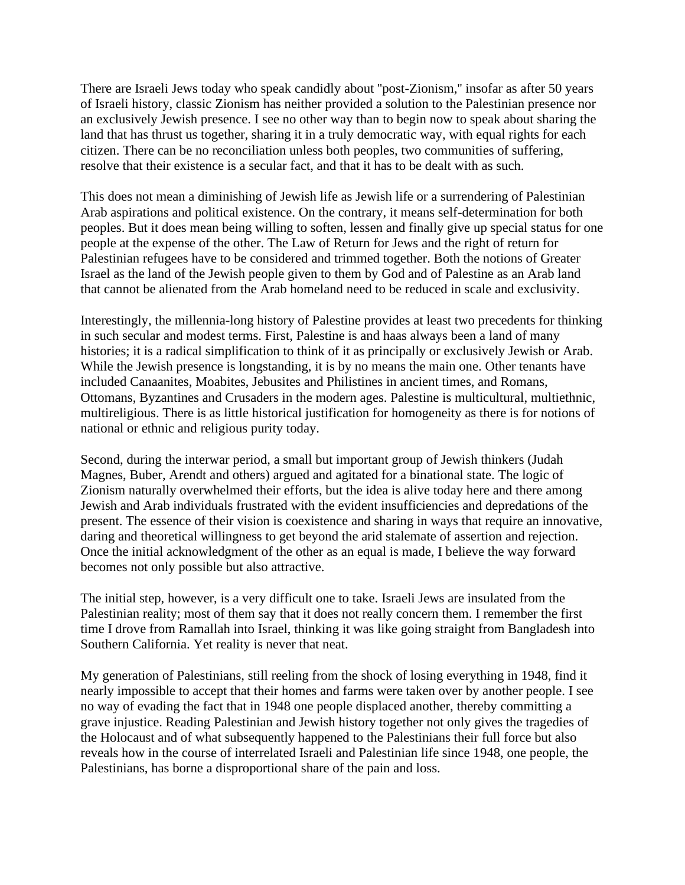There are Israeli Jews today who speak candidly about ''post-Zionism,'' insofar as after 50 years of Israeli history, classic Zionism has neither provided a solution to the Palestinian presence nor an exclusively Jewish presence. I see no other way than to begin now to speak about sharing the land that has thrust us together, sharing it in a truly democratic way, with equal rights for each citizen. There can be no reconciliation unless both peoples, two communities of suffering, resolve that their existence is a secular fact, and that it has to be dealt with as such.

This does not mean a diminishing of Jewish life as Jewish life or a surrendering of Palestinian Arab aspirations and political existence. On the contrary, it means self-determination for both peoples. But it does mean being willing to soften, lessen and finally give up special status for one people at the expense of the other. The Law of Return for Jews and the right of return for Palestinian refugees have to be considered and trimmed together. Both the notions of Greater Israel as the land of the Jewish people given to them by God and of Palestine as an Arab land that cannot be alienated from the Arab homeland need to be reduced in scale and exclusivity.

Interestingly, the millennia-long history of Palestine provides at least two precedents for thinking in such secular and modest terms. First, Palestine is and haas always been a land of many histories; it is a radical simplification to think of it as principally or exclusively Jewish or Arab. While the Jewish presence is longstanding, it is by no means the main one. Other tenants have included Canaanites, Moabites, Jebusites and Philistines in ancient times, and Romans, Ottomans, Byzantines and Crusaders in the modern ages. Palestine is multicultural, multiethnic, multireligious. There is as little historical justification for homogeneity as there is for notions of national or ethnic and religious purity today.

Second, during the interwar period, a small but important group of Jewish thinkers (Judah Magnes, Buber, Arendt and others) argued and agitated for a binational state. The logic of Zionism naturally overwhelmed their efforts, but the idea is alive today here and there among Jewish and Arab individuals frustrated with the evident insufficiencies and depredations of the present. The essence of their vision is coexistence and sharing in ways that require an innovative, daring and theoretical willingness to get beyond the arid stalemate of assertion and rejection. Once the initial acknowledgment of the other as an equal is made, I believe the way forward becomes not only possible but also attractive.

The initial step, however, is a very difficult one to take. Israeli Jews are insulated from the Palestinian reality; most of them say that it does not really concern them. I remember the first time I drove from Ramallah into Israel, thinking it was like going straight from Bangladesh into Southern California. Yet reality is never that neat.

My generation of Palestinians, still reeling from the shock of losing everything in 1948, find it nearly impossible to accept that their homes and farms were taken over by another people. I see no way of evading the fact that in 1948 one people displaced another, thereby committing a grave injustice. Reading Palestinian and Jewish history together not only gives the tragedies of the Holocaust and of what subsequently happened to the Palestinians their full force but also reveals how in the course of interrelated Israeli and Palestinian life since 1948, one people, the Palestinians, has borne a disproportional share of the pain and loss.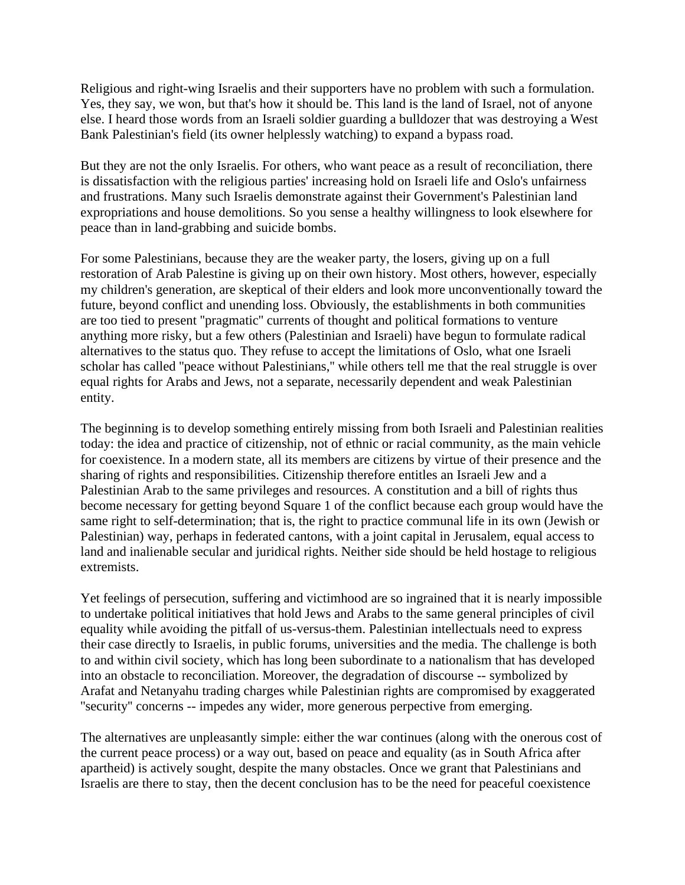Religious and right-wing Israelis and their supporters have no problem with such a formulation. Yes, they say, we won, but that's how it should be. This land is the land of Israel, not of anyone else. I heard those words from an Israeli soldier guarding a bulldozer that was destroying a West Bank Palestinian's field (its owner helplessly watching) to expand a bypass road.

But they are not the only Israelis. For others, who want peace as a result of reconciliation, there is dissatisfaction with the religious parties' increasing hold on Israeli life and Oslo's unfairness and frustrations. Many such Israelis demonstrate against their Government's Palestinian land expropriations and house demolitions. So you sense a healthy willingness to look elsewhere for peace than in land-grabbing and suicide bombs.

For some Palestinians, because they are the weaker party, the losers, giving up on a full restoration of Arab Palestine is giving up on their own history. Most others, however, especially my children's generation, are skeptical of their elders and look more unconventionally toward the future, beyond conflict and unending loss. Obviously, the establishments in both communities are too tied to present ''pragmatic'' currents of thought and political formations to venture anything more risky, but a few others (Palestinian and Israeli) have begun to formulate radical alternatives to the status quo. They refuse to accept the limitations of Oslo, what one Israeli scholar has called ''peace without Palestinians,'' while others tell me that the real struggle is over equal rights for Arabs and Jews, not a separate, necessarily dependent and weak Palestinian entity.

The beginning is to develop something entirely missing from both Israeli and Palestinian realities today: the idea and practice of citizenship, not of ethnic or racial community, as the main vehicle for coexistence. In a modern state, all its members are citizens by virtue of their presence and the sharing of rights and responsibilities. Citizenship therefore entitles an Israeli Jew and a Palestinian Arab to the same privileges and resources. A constitution and a bill of rights thus become necessary for getting beyond Square 1 of the conflict because each group would have the same right to self-determination; that is, the right to practice communal life in its own (Jewish or Palestinian) way, perhaps in federated cantons, with a joint capital in Jerusalem, equal access to land and inalienable secular and juridical rights. Neither side should be held hostage to religious extremists.

Yet feelings of persecution, suffering and victimhood are so ingrained that it is nearly impossible to undertake political initiatives that hold Jews and Arabs to the same general principles of civil equality while avoiding the pitfall of us-versus-them. Palestinian intellectuals need to express their case directly to Israelis, in public forums, universities and the media. The challenge is both to and within civil society, which has long been subordinate to a nationalism that has developed into an obstacle to reconciliation. Moreover, the degradation of discourse -- symbolized by Arafat and Netanyahu trading charges while Palestinian rights are compromised by exaggerated ''security'' concerns -- impedes any wider, more generous perpective from emerging.

The alternatives are unpleasantly simple: either the war continues (along with the onerous cost of the current peace process) or a way out, based on peace and equality (as in South Africa after apartheid) is actively sought, despite the many obstacles. Once we grant that Palestinians and Israelis are there to stay, then the decent conclusion has to be the need for peaceful coexistence